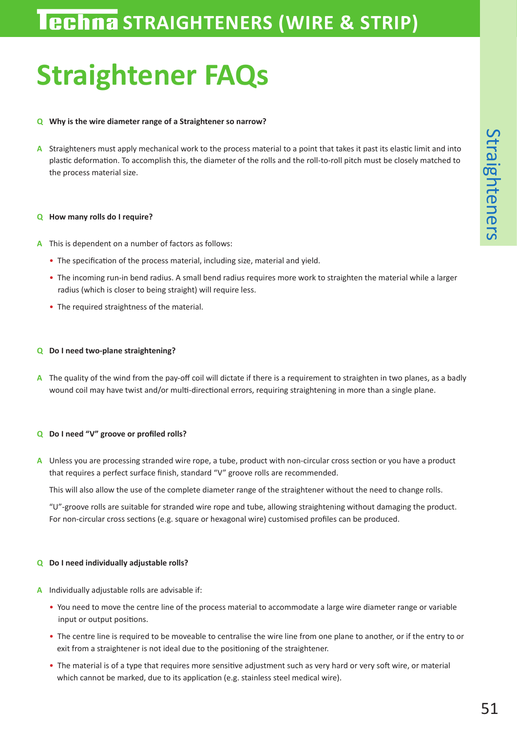# **Straightener FAQs**

### **Q Why is the wire diameter range of a Straightener so narrow?**

**A** Straighteners must apply mechanical work to the process material to a point that takes it past its elastic limit and into plastic deformation. To accomplish this, the diameter of the rolls and the roll-to-roll pitch must be closely matched to the process material size.

#### **Q How many rolls do I require?**

- **A** This is dependent on a number of factors as follows:
	- The specification of the process material, including size, material and yield.
	- The incoming run-in bend radius. A small bend radius requires more work to straighten the material while a larger radius (which is closer to being straight) will require less.
	- The required straightness of the material.

#### **Q Do I need two-plane straightening?**

**A** The quality of the wind from the pay-off coil will dictate if there is a requirement to straighten in two planes, as a badly wound coil may have twist and/or multi-directional errors, requiring straightening in more than a single plane.

#### **Q Do I need "V" groove or profiled rolls?**

**A** Unless you are processing stranded wire rope, a tube, product with non-circular cross section or you have a product that requires a perfect surface finish, standard "V" groove rolls are recommended.

This will also allow the use of the complete diameter range of the straightener without the need to change rolls.

"U"-groove rolls are suitable for stranded wire rope and tube, allowing straightening without damaging the product. For non-circular cross sections (e.g. square or hexagonal wire) customised profiles can be produced.

#### **Q Do I need individually adjustable rolls?**

- **A** Individually adjustable rolls are advisable if:
	- You need to move the centre line of the process material to accommodate a large wire diameter range or variable input or output positions.
	- The centre line is required to be moveable to centralise the wire line from one plane to another, or if the entry to or exit from a straightener is not ideal due to the positioning of the straightener.
	- The material is of a type that requires more sensitive adjustment such as very hard or very soft wire, or material which cannot be marked, due to its application (e.g. stainless steel medical wire).